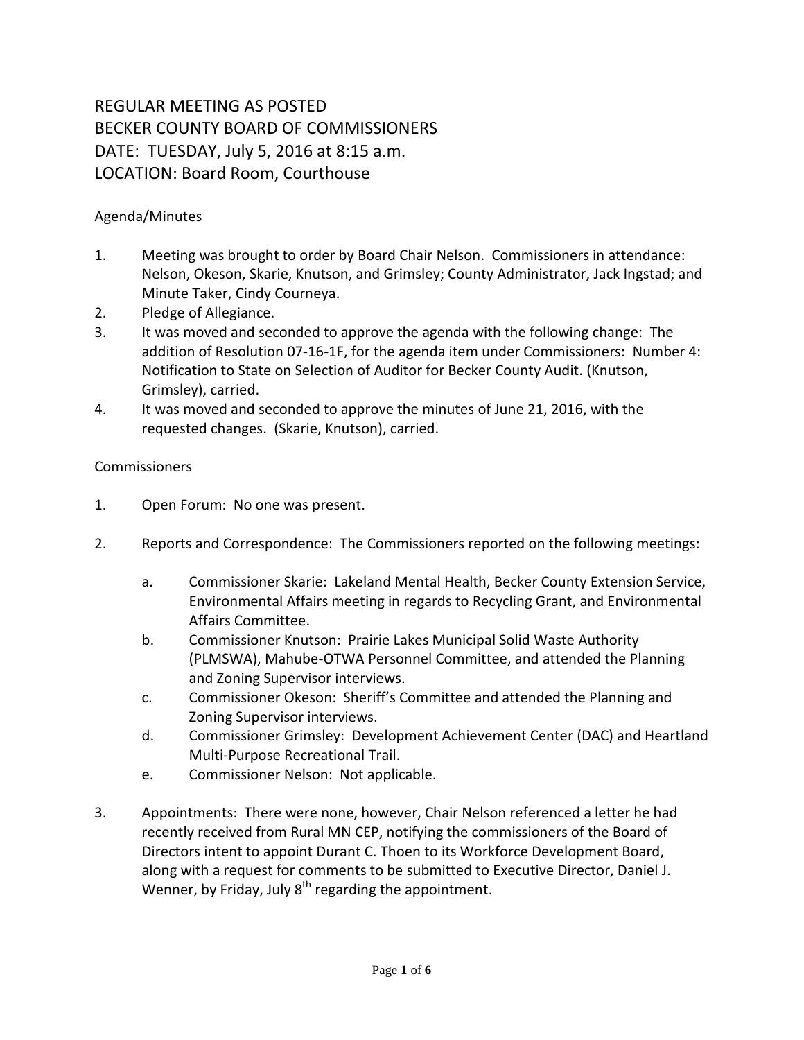# REGULAR MEETING AS POSTED BECKER COUNTY BOARD OF COMMISSIONERS DATE: TUESDAY, July 5, 2016 at 8:15 a.m. LOCATION: Board Room, Courthouse

## Agenda/Minutes

- 1. Meeting was brought to order by Board Chair Nelson. Commissioners in attendance: Nelson, Okeson, Skarie, Knutson, and Grimsley; County Administrator, Jack Ingstad; and Minute Taker, Cindy Courneya.
- 2. Pledge of Allegiance.
- 3. It was moved and seconded to approve the agenda with the following change: The addition of Resolution 07-16-1F, for the agenda item under Commissioners: Number 4: Notification to State on Selection of Auditor for Becker County Audit. (Knutson, Grimsley), carried.
- 4. It was moved and seconded to approve the minutes of June 21, 2016, with the requested changes. (Skarie, Knutson), carried.

### Commissioners

- 1. Open Forum: No one was present.
- 2. Reports and Correspondence: The Commissioners reported on the following meetings:
	- a. Commissioner Skarie: Lakeland Mental Health, Becker County Extension Service, Environmental Affairs meeting in regards to Recycling Grant, and Environmental Affairs Committee.
	- b. Commissioner Knutson: Prairie Lakes Municipal Solid Waste Authority (PLMSWA), Mahube-OTWA Personnel Committee, and attended the Planning and Zoning Supervisor interviews.
	- c. Commissioner Okeson: Sheriff's Committee and attended the Planning and Zoning Supervisor interviews.
	- d. Commissioner Grimsley: Development Achievement Center (DAC) and Heartland Multi-Purpose Recreational Trail.
	- e. Commissioner Nelson: Not applicable.
- 3. Appointments: There were none, however, Chair Nelson referenced a letter he had recently received from Rural MN CEP, notifying the commissioners of the Board of Directors intent to appoint Durant C. Thoen to its Workforce Development Board, along with a request for comments to be submitted to Executive Director, Daniel J. Wenner, by Friday, July  $8<sup>th</sup>$  regarding the appointment.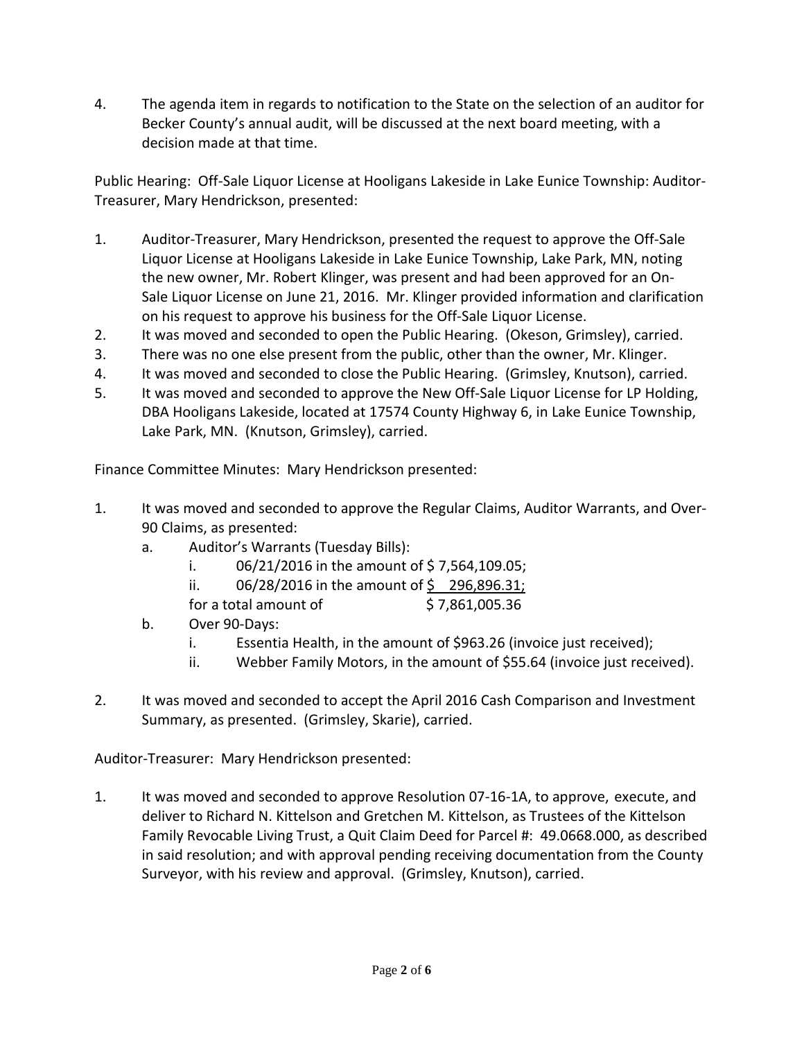4. The agenda item in regards to notification to the State on the selection of an auditor for Becker County's annual audit, will be discussed at the next board meeting, with a decision made at that time.

Public Hearing: Off-Sale Liquor License at Hooligans Lakeside in Lake Eunice Township: Auditor-Treasurer, Mary Hendrickson, presented:

- 1. Auditor-Treasurer, Mary Hendrickson, presented the request to approve the Off-Sale Liquor License at Hooligans Lakeside in Lake Eunice Township, Lake Park, MN, noting the new owner, Mr. Robert Klinger, was present and had been approved for an On-Sale Liquor License on June 21, 2016. Mr. Klinger provided information and clarification on his request to approve his business for the Off-Sale Liquor License.
- 2. It was moved and seconded to open the Public Hearing. (Okeson, Grimsley), carried.
- 3. There was no one else present from the public, other than the owner, Mr. Klinger.
- 4. It was moved and seconded to close the Public Hearing. (Grimsley, Knutson), carried.
- 5. It was moved and seconded to approve the New Off-Sale Liquor License for LP Holding, DBA Hooligans Lakeside, located at 17574 County Highway 6, in Lake Eunice Township, Lake Park, MN. (Knutson, Grimsley), carried.

Finance Committee Minutes: Mary Hendrickson presented:

- 1. It was moved and seconded to approve the Regular Claims, Auditor Warrants, and Over-90 Claims, as presented:
	- a. Auditor's Warrants (Tuesday Bills):
		- i. 06/21/2016 in the amount of \$ 7,564,109.05;
		- ii.  $06/28/2016$  in the amount of \$296,896.31;
		- for a total amount of  $$7,861,005.36$
	- b. Over 90-Days:
		- i. Essentia Health, in the amount of \$963.26 (invoice just received);
		- ii. Webber Family Motors, in the amount of \$55.64 (invoice just received).
- 2. It was moved and seconded to accept the April 2016 Cash Comparison and Investment Summary, as presented. (Grimsley, Skarie), carried.

Auditor-Treasurer: Mary Hendrickson presented:

1. It was moved and seconded to approve Resolution 07-16-1A, to approve, execute, and deliver to Richard N. Kittelson and Gretchen M. Kittelson, as Trustees of the Kittelson Family Revocable Living Trust, a Quit Claim Deed for Parcel #: 49.0668.000, as described in said resolution; and with approval pending receiving documentation from the County Surveyor, with his review and approval. (Grimsley, Knutson), carried.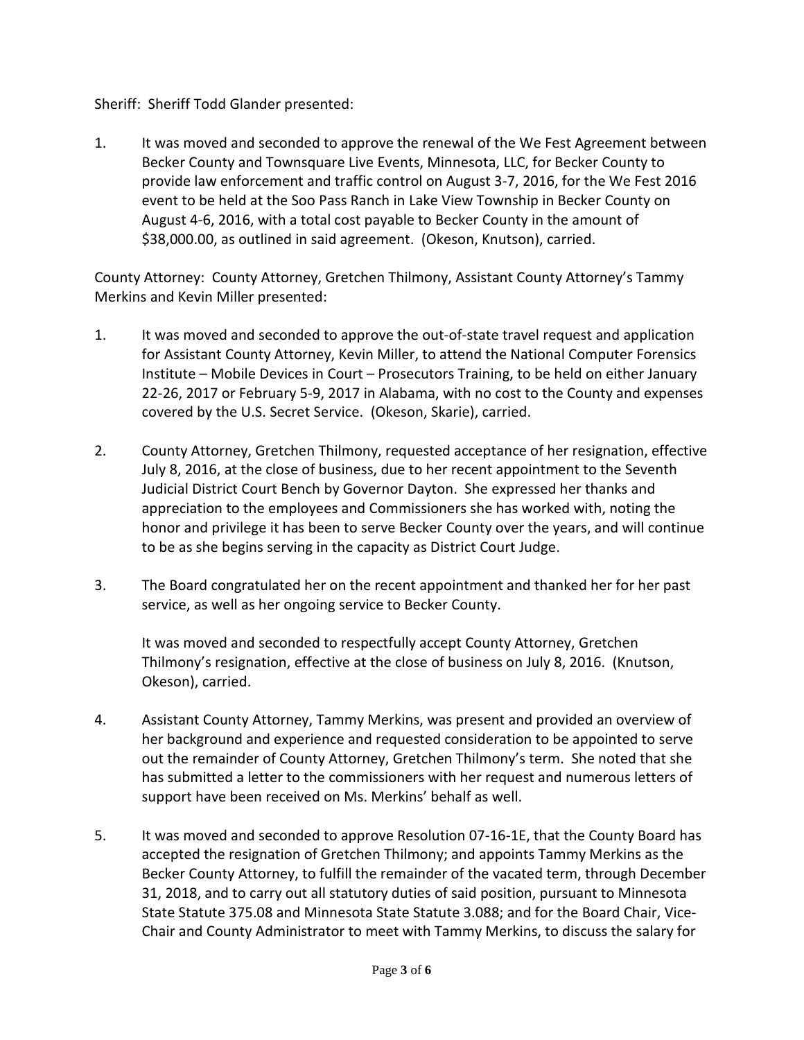### Sheriff: Sheriff Todd Glander presented:

1. It was moved and seconded to approve the renewal of the We Fest Agreement between Becker County and Townsquare Live Events, Minnesota, LLC, for Becker County to provide law enforcement and traffic control on August 3-7, 2016, for the We Fest 2016 event to be held at the Soo Pass Ranch in Lake View Township in Becker County on August 4-6, 2016, with a total cost payable to Becker County in the amount of \$38,000.00, as outlined in said agreement. (Okeson, Knutson), carried.

County Attorney: County Attorney, Gretchen Thilmony, Assistant County Attorney's Tammy Merkins and Kevin Miller presented:

- 1. It was moved and seconded to approve the out-of-state travel request and application for Assistant County Attorney, Kevin Miller, to attend the National Computer Forensics Institute – Mobile Devices in Court – Prosecutors Training, to be held on either January 22-26, 2017 or February 5-9, 2017 in Alabama, with no cost to the County and expenses covered by the U.S. Secret Service. (Okeson, Skarie), carried.
- 2. County Attorney, Gretchen Thilmony, requested acceptance of her resignation, effective July 8, 2016, at the close of business, due to her recent appointment to the Seventh Judicial District Court Bench by Governor Dayton. She expressed her thanks and appreciation to the employees and Commissioners she has worked with, noting the honor and privilege it has been to serve Becker County over the years, and will continue to be as she begins serving in the capacity as District Court Judge.
- 3. The Board congratulated her on the recent appointment and thanked her for her past service, as well as her ongoing service to Becker County.

It was moved and seconded to respectfully accept County Attorney, Gretchen Thilmony's resignation, effective at the close of business on July 8, 2016. (Knutson, Okeson), carried.

- 4. Assistant County Attorney, Tammy Merkins, was present and provided an overview of her background and experience and requested consideration to be appointed to serve out the remainder of County Attorney, Gretchen Thilmony's term. She noted that she has submitted a letter to the commissioners with her request and numerous letters of support have been received on Ms. Merkins' behalf as well.
- 5. It was moved and seconded to approve Resolution 07-16-1E, that the County Board has accepted the resignation of Gretchen Thilmony; and appoints Tammy Merkins as the Becker County Attorney, to fulfill the remainder of the vacated term, through December 31, 2018, and to carry out all statutory duties of said position, pursuant to Minnesota State Statute 375.08 and Minnesota State Statute 3.088; and for the Board Chair, Vice-Chair and County Administrator to meet with Tammy Merkins, to discuss the salary for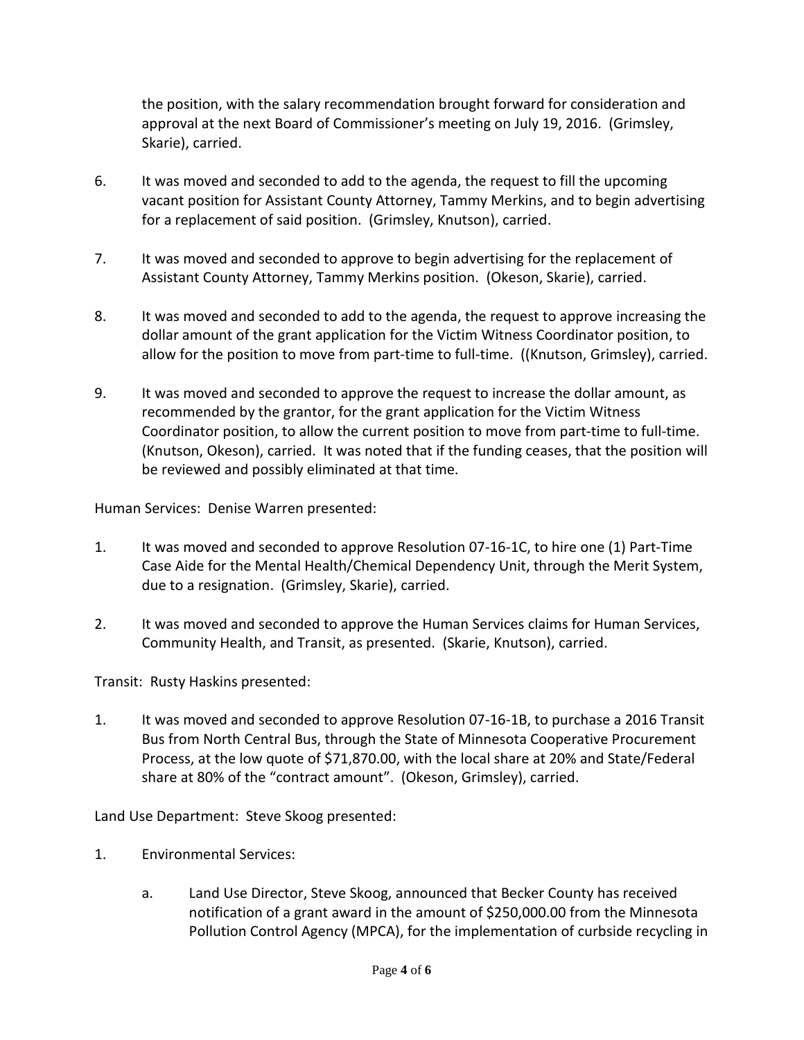the position, with the salary recommendation brought forward for consideration and approval at the next Board of Commissioner's meeting on July 19, 2016. (Grimsley, Skarie), carried.

- 6. It was moved and seconded to add to the agenda, the request to fill the upcoming vacant position for Assistant County Attorney, Tammy Merkins, and to begin advertising for a replacement of said position. (Grimsley, Knutson), carried.
- 7. It was moved and seconded to approve to begin advertising for the replacement of Assistant County Attorney, Tammy Merkins position. (Okeson, Skarie), carried.
- 8. It was moved and seconded to add to the agenda, the request to approve increasing the dollar amount of the grant application for the Victim Witness Coordinator position, to allow for the position to move from part-time to full-time. ((Knutson, Grimsley), carried.
- 9. It was moved and seconded to approve the request to increase the dollar amount, as recommended by the grantor, for the grant application for the Victim Witness Coordinator position, to allow the current position to move from part-time to full-time. (Knutson, Okeson), carried. It was noted that if the funding ceases, that the position will be reviewed and possibly eliminated at that time.

Human Services: Denise Warren presented:

- 1. It was moved and seconded to approve Resolution 07-16-1C, to hire one (1) Part-Time Case Aide for the Mental Health/Chemical Dependency Unit, through the Merit System, due to a resignation. (Grimsley, Skarie), carried.
- 2. It was moved and seconded to approve the Human Services claims for Human Services, Community Health, and Transit, as presented. (Skarie, Knutson), carried.

Transit: Rusty Haskins presented:

1. It was moved and seconded to approve Resolution 07-16-1B, to purchase a 2016 Transit Bus from North Central Bus, through the State of Minnesota Cooperative Procurement Process, at the low quote of \$71,870.00, with the local share at 20% and State/Federal share at 80% of the "contract amount". (Okeson, Grimsley), carried.

Land Use Department: Steve Skoog presented:

- 1. Environmental Services:
	- a. Land Use Director, Steve Skoog, announced that Becker County has received notification of a grant award in the amount of \$250,000.00 from the Minnesota Pollution Control Agency (MPCA), for the implementation of curbside recycling in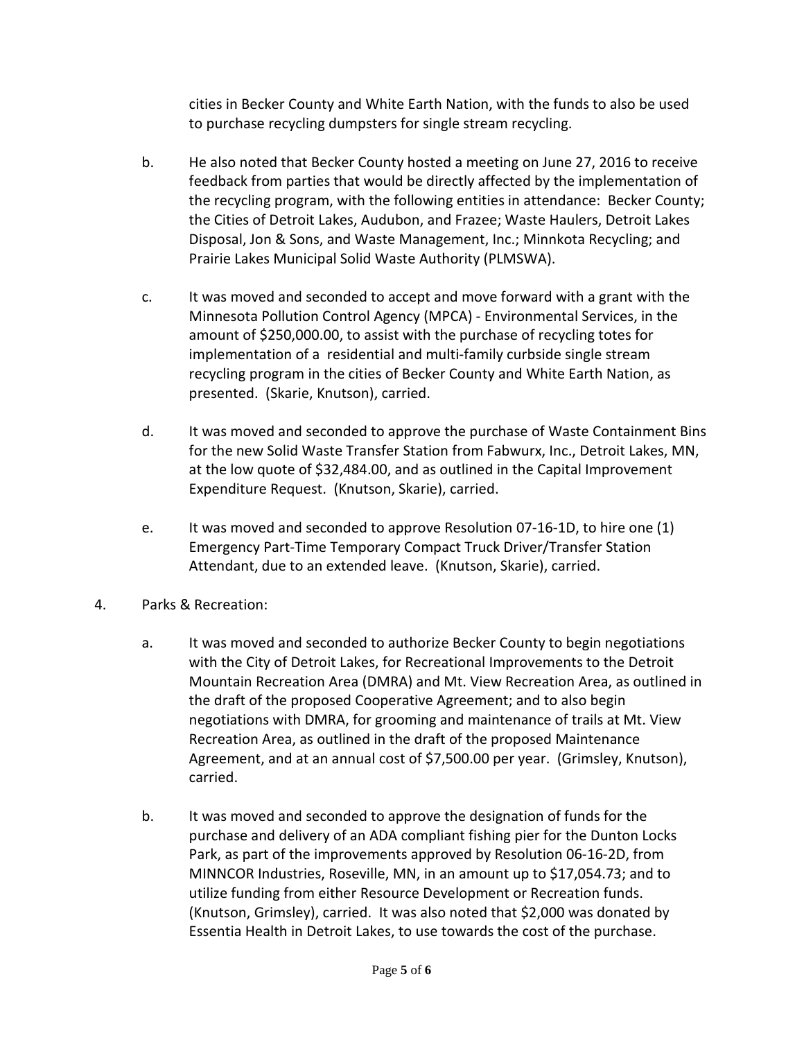cities in Becker County and White Earth Nation, with the funds to also be used to purchase recycling dumpsters for single stream recycling.

- b. He also noted that Becker County hosted a meeting on June 27, 2016 to receive feedback from parties that would be directly affected by the implementation of the recycling program, with the following entities in attendance: Becker County; the Cities of Detroit Lakes, Audubon, and Frazee; Waste Haulers, Detroit Lakes Disposal, Jon & Sons, and Waste Management, Inc.; Minnkota Recycling; and Prairie Lakes Municipal Solid Waste Authority (PLMSWA).
- c. It was moved and seconded to accept and move forward with a grant with the Minnesota Pollution Control Agency (MPCA) - Environmental Services, in the amount of \$250,000.00, to assist with the purchase of recycling totes for implementation of a residential and multi-family curbside single stream recycling program in the cities of Becker County and White Earth Nation, as presented. (Skarie, Knutson), carried.
- d. It was moved and seconded to approve the purchase of Waste Containment Bins for the new Solid Waste Transfer Station from Fabwurx, Inc., Detroit Lakes, MN, at the low quote of \$32,484.00, and as outlined in the Capital Improvement Expenditure Request. (Knutson, Skarie), carried.
- e. It was moved and seconded to approve Resolution 07-16-1D, to hire one (1) Emergency Part-Time Temporary Compact Truck Driver/Transfer Station Attendant, due to an extended leave. (Knutson, Skarie), carried.
- 4. Parks & Recreation:
	- a. It was moved and seconded to authorize Becker County to begin negotiations with the City of Detroit Lakes, for Recreational Improvements to the Detroit Mountain Recreation Area (DMRA) and Mt. View Recreation Area, as outlined in the draft of the proposed Cooperative Agreement; and to also begin negotiations with DMRA, for grooming and maintenance of trails at Mt. View Recreation Area, as outlined in the draft of the proposed Maintenance Agreement, and at an annual cost of \$7,500.00 per year. (Grimsley, Knutson), carried.
	- b. It was moved and seconded to approve the designation of funds for the purchase and delivery of an ADA compliant fishing pier for the Dunton Locks Park, as part of the improvements approved by Resolution 06-16-2D, from MINNCOR Industries, Roseville, MN, in an amount up to \$17,054.73; and to utilize funding from either Resource Development or Recreation funds. (Knutson, Grimsley), carried. It was also noted that \$2,000 was donated by Essentia Health in Detroit Lakes, to use towards the cost of the purchase.